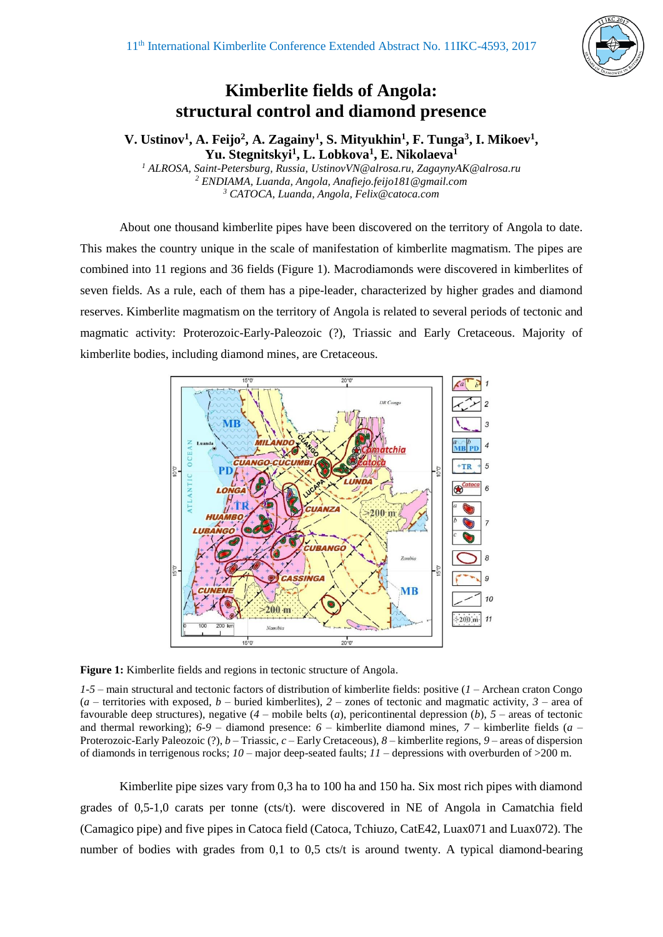

## **Kimberlite fields of Angola: structural control and diamond presence**

**V. Ustinov<sup>1</sup> , A. Feijo<sup>2</sup> , A. Zagainy<sup>1</sup> , S. Mityukhin<sup>1</sup> , F. Tunga<sup>3</sup> , I. Mikoev<sup>1</sup> , Yu. Stegnitskyi<sup>1</sup> , L. Lobkova<sup>1</sup> , E. Nikolaeva<sup>1</sup>**

*<sup>1</sup> ALROSA, Saint-Petersburg, Russia, UstinovVN@alrosa.ru, ZagaynyAK@alrosa.ru <sup>2</sup> ENDIAMA, Luanda, Angola, Anafiejo.feijo181@gmail.com <sup>3</sup> CATOCA, Luanda, Angola, Felix@catoca.com*

About one thousand kimberlite pipes have been discovered on the territory of Angola to date. This makes the country unique in the scale of manifestation of kimberlite magmatism. The pipes are combined into 11 regions and 36 fields (Figure 1). Macrodiamonds were discovered in kimberlites of seven fields. As a rule, each of them has a pipe-leader, characterized by higher grades and diamond reserves. Kimberlite magmatism on the territory of Angola is related to several periods of tectonic and magmatic activity: Proterozoic-Early-Paleozoic (?), Triassic and Early Cretaceous. Majority of kimberlite bodies, including diamond mines, are Cretaceous.



**Figure 1:** Kimberlite fields and regions in tectonic structure of Angola.

*1-5* – main structural and tectonic factors of distribution of kimberlite fields: positive (*1* – Archean craton Congo  $(a -$  territories with exposed,  $b -$  buried kimberlites),  $2 -$ zones of tectonic and magmatic activity,  $3 -$ area of favourable deep structures), negative (*4* – mobile belts (*a*), pericontinental depression (*b*), *5* – areas of tectonic and thermal reworking); *6-9* – diamond presence: *6* – kimberlite diamond mines, *7* – kimberlite fields (*a* – Proterozoic-Early Paleozoic (?), *b* – Triassic, *c* – Early Cretaceous), *8* – kimberlite regions, *9* – areas of dispersion of diamonds in terrigenous rocks; *10* – major deep-seated faults; *11* – depressions with overburden of >200 m.

Kimberlite pipe sizes vary from 0,3 ha to 100 ha and 150 ha. Six most rich pipes with diamond grades of 0,5-1,0 carats per tonne (cts/t). were discovered in NE of Angola in Camatchia field (Camagico pipe) and five pipes in Catoca field (Catoca, Tchiuzo, CatE42, Luax071 and Luax072). The number of bodies with grades from 0.1 to 0.5 cts/t is around twenty. A typical diamond-bearing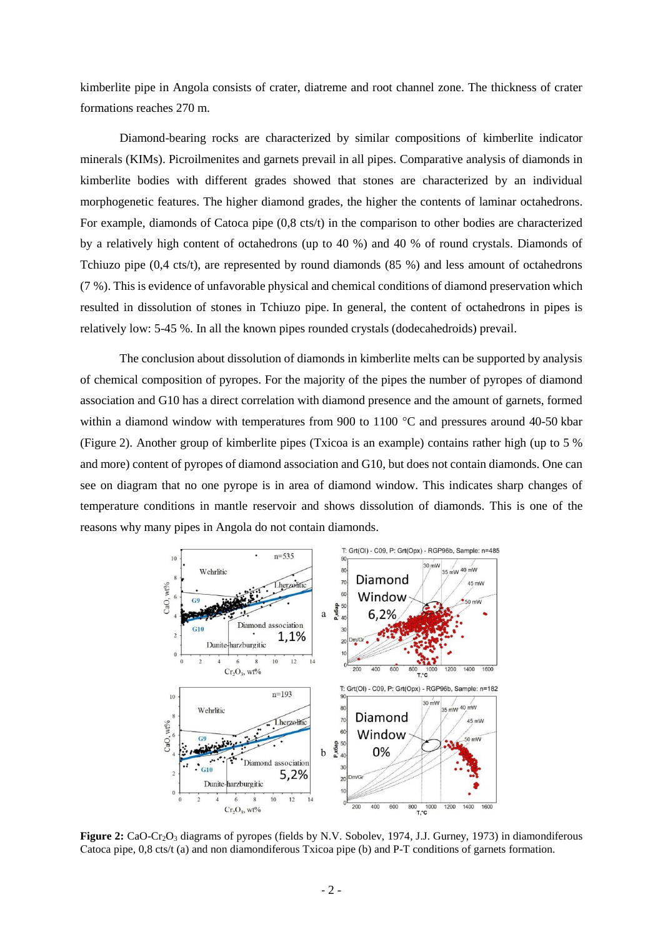kimberlite pipe in Angola consists of crater, diatreme and root channel zone. The thickness of crater formations reaches 270 m.

Diamond-bearing rocks are characterized by similar compositions of kimberlite indicator minerals (KIMs). Picroilmenites and garnets prevail in all pipes. Comparative analysis of diamonds in kimberlite bodies with different grades showed that stones are characterized by an individual morphogenetic features. The higher diamond grades, the higher the contents of laminar octahedrons. For example, diamonds of Catoca pipe (0,8 cts/t) in the comparison to other bodies are characterized by a relatively high content of octahedrons (up to 40 %) and 40 % of round crystals. Diamonds of Tchiuzo pipe (0,4 cts/t), are represented by round diamonds (85 %) and less amount of octahedrons (7 %). This is evidence of unfavorable physical and chemical conditions of diamond preservation which resulted in dissolution of stones in Tchiuzo pipe. In general, the content of octahedrons in pipes is relatively low: 5-45 %. In all the known pipes rounded crystals (dodecahedroids) prevail.

The conclusion about dissolution of diamonds in kimberlite melts can be supported by analysis of chemical composition of pyropes. For the majority of the pipes the number of pyropes of diamond association and G10 has a direct correlation with diamond presence and the amount of garnets, formed within a diamond window with temperatures from 900 to 1100 °C and pressures around 40-50 kbar (Figure 2). Another group of kimberlite pipes (Txicoa is an example) contains rather high (up to 5 % and more) content of pyropes of diamond association and G10, but does not contain diamonds. One can see on diagram that no one pyrope is in area of diamond window. This indicates sharp changes of temperature conditions in mantle reservoir and shows dissolution of diamonds. This is one of the reasons why many pipes in Angola do not contain diamonds.



**Figure 2:** CaO-Cr<sub>2</sub>O<sub>3</sub> diagrams of pyropes (fields by N.V. Sobolev, 1974, J.J. Gurney, 1973) in diamondiferous Сatoca pipe, 0,8 cts/t (a) and non diamondiferous Txicoa pipe (b) and P-T conditions of garnets formation.